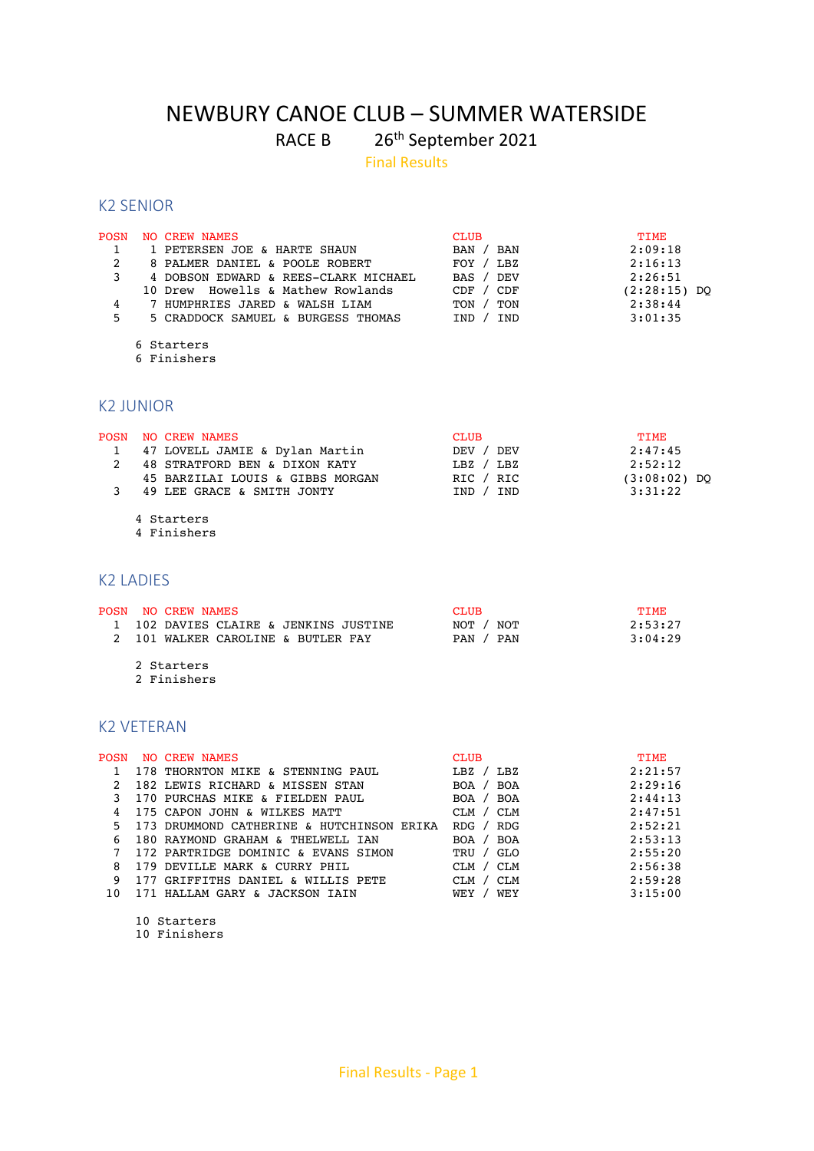# NEWBURY CANOE CLUB – SUMMER WATERSIDE

RACE B 26<sup>th</sup> September 2021

Final Results

### K2 SENIOR

| <b>POSN</b> | <b>CREW NAMES</b><br>NO.                               | <b>CLUB</b>                      | <b>TIME</b>     |
|-------------|--------------------------------------------------------|----------------------------------|-----------------|
|             | 1 PETERSEN JOE & HARTE SHAUN                           | BAN<br>BAN                       | 2:09:18         |
| 2           | 8 PALMER DANIEL & POOLE ROBERT                         | FOY /<br>LBZ                     | 2:16:13         |
| 3           | 4 DOBSON EDWARD & REES-CLARK MICHAEL                   | DEV<br><b>BAS</b>                | 2:26:51         |
|             | Howells & Mathew Rowlands<br>10 Drew                   | CDF<br>CDF                       | (2:28:15) DQ    |
| 4           | 7 HUMPHRIES JARED & WALSH LIAM                         | TON<br>TON                       | 2:38:44         |
| 5           | 5 CRADDOCK SAMUEL & BURGESS THOMAS                     | IND<br>IND                       | 3:01:35         |
|             | 6 Starters<br>6 Finishers                              |                                  |                 |
|             | <b>K2 JUNIOR</b>                                       |                                  |                 |
| <b>POSN</b> | <b>NO CREW NAMES</b><br>47 LOVELL JAMIE & Dylan Martin | <b>CLUB</b><br><b>DEV</b><br>DEV | TIME<br>2:47:45 |

|   | 1 47 LOVELL JAMIE & Dylan Martin | DEV / DEV | 2:47:45        |
|---|----------------------------------|-----------|----------------|
| 2 | 48 STRATFORD BEN & DIXON KATY    | LBZ / LBZ | 2:52:12        |
|   | 45 BARZILAI LOUIS & GIBBS MORGAN | RIC / RIC | $(3:08:02)$ DO |
|   | 49 LEE GRACE & SMITH JONTY       | IND / IND | 3:31:22        |
|   |                                  |           |                |

4 Starters

4 Finishers

## K2 LADIES

|  | POSN NO CREW NAMES                    | <b>CLUB</b> | <b>TTME</b> |  |
|--|---------------------------------------|-------------|-------------|--|
|  | 1 102 DAVIES CLAIRE & JENKINS JUSTINE | NOT / NOT   | 2:53:27     |  |
|  | 2 101 WALKER CAROLINE & BUTLER FAY    | PAN / PAN   | 3:04:29     |  |
|  |                                       |             |             |  |

 2 Starters 2 Finishers

# K2 VETERAN

| <b>POSN</b> | <b>NO CREW NAMES</b>                      | <b>CLUB</b>                   | <b>TIME</b> |
|-------------|-------------------------------------------|-------------------------------|-------------|
|             | 178 THORNTON MIKE & STENNING PAUL         | L BZ /<br>LBZ                 | 2:21:57     |
|             | 182 LEWIS RICHARD & MISSEN STAN           | BOA<br>BOA                    | 2:29:16     |
|             | 170 PURCHAS MIKE & FIELDEN PAUL           | BOA<br>BOA /                  | 2:44:13     |
| 4           | 175 CAPON JOHN & WILKES MATT              | CLM<br>CLM /                  | 2:47:51     |
| 5.          | 173 DRUMMOND CATHERINE & HUTCHINSON ERIKA | R <sub>DG</sub><br><b>RDG</b> | 2:52:21     |
| 6           | 180 RAYMOND GRAHAM & THELWELL IAN         | <b>BOA</b><br>BOA             | 2:53:13     |
|             | 172 PARTRIDGE DOMINIC & EVANS SIMON       | GLO<br>TRU /                  | 2:55:20     |
| 8           | 179 DEVILLE MARK & CURRY PHIL             | CLM<br>CLM /                  | 2:56:38     |
| 9           | 177 GRIFFITHS DANIEL & WILLIS PETE        | <b>CLM</b><br><b>CLM</b>      | 2:59:28     |
| 10          | 171 HALLAM GARY & JACKSON IAIN            | WEY<br>WEY                    | 3:15:00     |

10 Starters

10 Finishers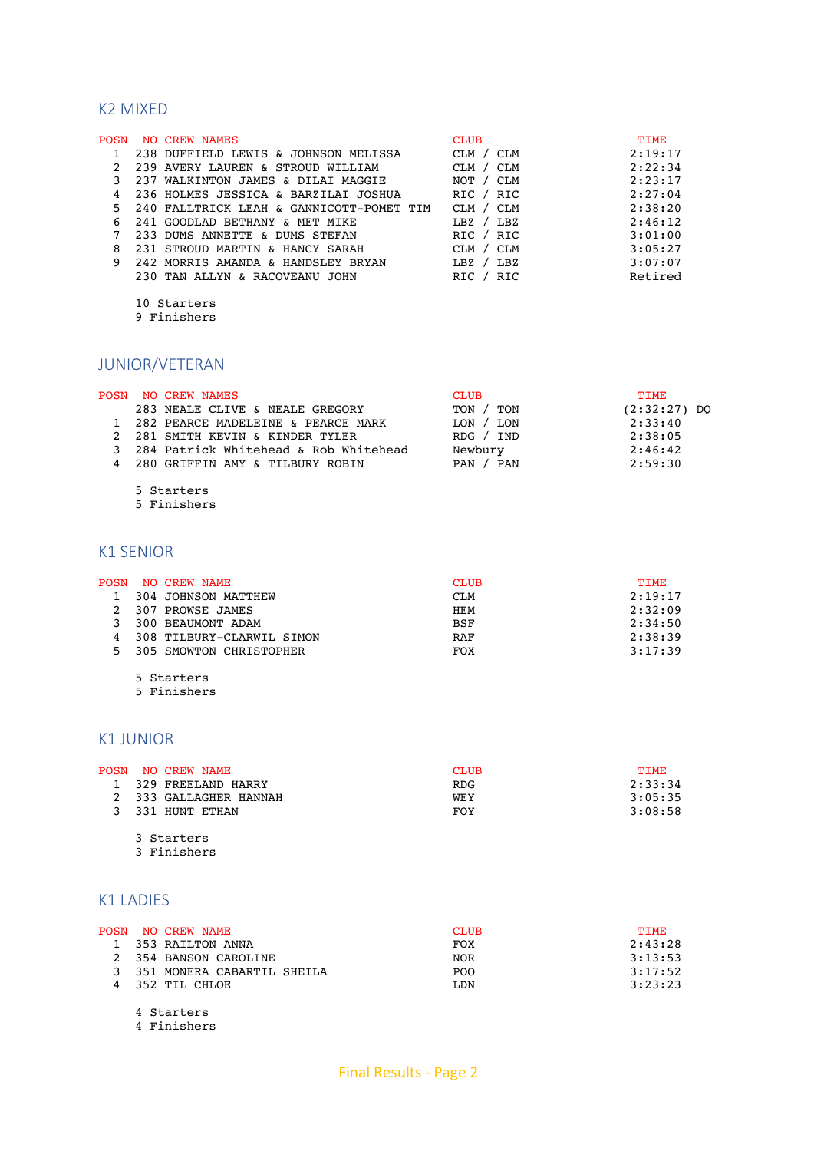# K2 MIXED

| <b>POSN</b> | NO CREW NAMES                            | <b>CLUB</b>  | TIME    |
|-------------|------------------------------------------|--------------|---------|
|             | 238 DUFFIELD LEWIS & JOHNSON MELISSA     | CLM / CLM    | 2:19:17 |
|             | 239 AVERY LAUREN & STROUD WILLIAM        | CLM<br>CLM / | 2:22:34 |
|             | 237 WALKINTON JAMES & DILAI MAGGIE       | NOT / CLM    | 2:23:17 |
|             | 236 HOLMES JESSICA & BARZILAI JOSHUA     | RIC / RIC    | 2:27:04 |
| 5.          | 240 FALLTRICK LEAH & GANNICOTT-POMET TIM | CLM / CLM    | 2:38:20 |
| 6           | 241 GOODLAD BETHANY & MET MIKE           | L BZ / L BZ  | 2:46:12 |
|             | 233 DUMS ANNETTE & DUMS STEFAN           | RIC / RIC    | 3:01:00 |
| 8           | 231 STROUD MARTIN & HANCY SARAH          | CLM / CLM    | 3:05:27 |
| 9           | 242 MORRIS AMANDA & HANDSLEY BRYAN       | L BZ / L BZ  | 3:07:07 |
|             | 230 TAN ALLYN & RACOVEANU JOHN           | RIC<br>RIC / | Retired |

 10 Starters 9 Finishers

# JUNIOR/VETERAN

|  | POSN NO CREW NAMES                      | <b>CLUB</b>           | <b>TTME</b>    |
|--|-----------------------------------------|-----------------------|----------------|
|  | 283 NEALE CLIVE & NEALE GREGORY         | TON / TON             | $(2:32:27)$ DO |
|  | 1 282 PEARCE MADELEINE & PEARCE MARK    | LON / LON             | 2:33:40        |
|  | 2 281 SMITH KEVIN & KINDER TYLER        | R <sub>DG</sub> / IND | 2:38:05        |
|  | 3 284 Patrick Whitehead & Rob Whitehead | Newbury               | 2:46:42        |
|  | 4 280 GRIFFIN AMY & TILBURY ROBIN       | PAN / PAN             | 2:59:30        |

5 Starters

5 Finishers

## K1 SENIOR

|   | POSN NO CREW NAME         | <b>CLUB</b> | <b>TTME</b> |
|---|---------------------------|-------------|-------------|
|   | 304 JOHNSON MATTHEW       | <b>CLM</b>  | 2:19:17     |
|   | 2 307 PROWSE JAMES        | HEM         | 2:32:09     |
| 3 | 300 BEAUMONT ADAM         | <b>BSF</b>  | 2:34:50     |
|   | 308 TILBURY-CLARWIL SIMON | RAF         | 2:38:39     |
|   | 5 305 SMOWTON CHRISTOPHER | FOX         | 3:17:39     |

5 Starters

5 Finishers

### K1 JUNIOR

|  | POSN NO CREW NAME      | <b>CLUB</b> | TTME.   |
|--|------------------------|-------------|---------|
|  | 1 329 FREELAND HARRY   | RDG.        | 2:33:34 |
|  | 2 333 GALLAGHER HANNAH | WEY         | 3:05:35 |
|  | 3 331 HUNT ETHAN       | FOY         | 3:08:58 |

3 Starters

3 Finishers

# K1 LADIES

|  | POSN NO CREW NAME            | <b>CLUB</b>      | <b>TTME</b> |
|--|------------------------------|------------------|-------------|
|  | 1 353 RAILTON ANNA           | FOX              | 2:43:28     |
|  | 2 354 BANSON CAROLINE        | NOR              | 3:13:53     |
|  | 3 351 MONERA CABARTIL SHEILA | P <sub>O</sub> O | 3:17:52     |
|  | 4 352 TIL CHLOE              | LDN              | 3:23:23     |

4 Starters

4 Finishers